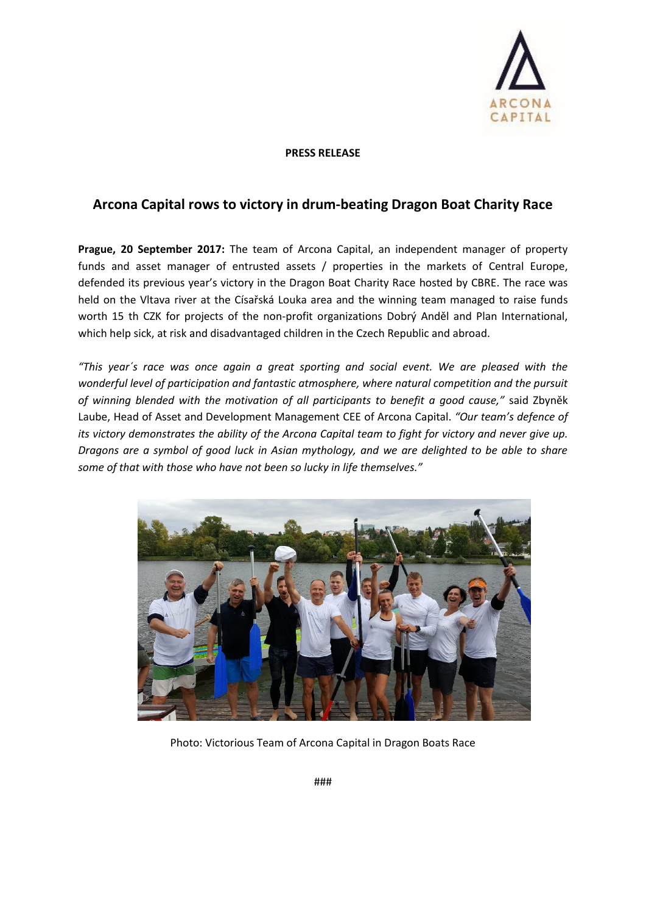

## **PRESS RELEASE**

## **Arcona Capital rows to victory in drum-beating Dragon Boat Charity Race**

**Prague, 20 September 2017:** The team of Arcona Capital, an independent manager of property funds and asset manager of entrusted assets / properties in the markets of Central Europe, defended its previous year's victory in the Dragon Boat Charity Race hosted by CBRE. The race was held on the Vltava river at the Císařská Louka area and the winning team managed to raise funds worth 15 th CZK for projects of the non-profit organizations Dobrý Anděl and Plan International, which help sick, at risk and disadvantaged children in the Czech Republic and abroad.

*"This year´s race was once again a great sporting and social event. We are pleased with the wonderful level of participation and fantastic atmosphere, where natural competition and the pursuit of winning blended with the motivation of all participants to benefit a good cause,"* said Zbyněk Laube, Head of Asset and Development Management CEE of Arcona Capital. *"Our team's defence of its victory demonstrates the ability of the Arcona Capital team to fight for victory and never give up. Dragons are a symbol of good luck in Asian mythology, and we are delighted to be able to share some of that with those who have not been so lucky in life themselves."*



Photo: Victorious Team of Arcona Capital in Dragon Boats Race